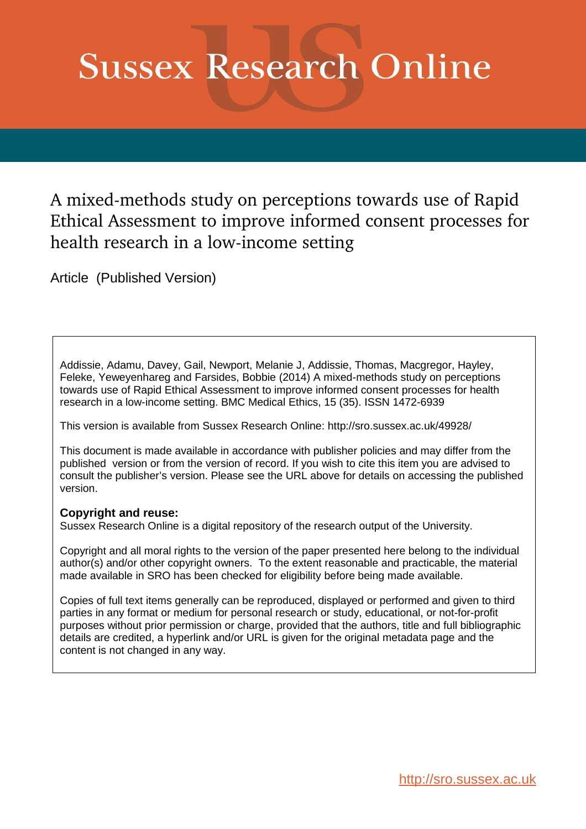# **Sussex Research Online**

A mixed-methods study on perceptions towards use of Rapid Ethical Assessment to improve informed consent processes for health research in a low-income setting

Article (Published Version)

Addissie, Adamu, Davey, Gail, Newport, Melanie J, Addissie, Thomas, Macgregor, Hayley, Feleke, Yeweyenhareg and Farsides, Bobbie (2014) A mixed-methods study on perceptions towards use of Rapid Ethical Assessment to improve informed consent processes for health research in a low-income setting. BMC Medical Ethics, 15 (35). ISSN 1472-6939

This version is available from Sussex Research Online: http://sro.sussex.ac.uk/49928/

This document is made available in accordance with publisher policies and may differ from the published version or from the version of record. If you wish to cite this item you are advised to consult the publisher's version. Please see the URL above for details on accessing the published version.

### **Copyright and reuse:**

Sussex Research Online is a digital repository of the research output of the University.

Copyright and all moral rights to the version of the paper presented here belong to the individual author(s) and/or other copyright owners. To the extent reasonable and practicable, the material made available in SRO has been checked for eligibility before being made available.

Copies of full text items generally can be reproduced, displayed or performed and given to third parties in any format or medium for personal research or study, educational, or not-for-profit purposes without prior permission or charge, provided that the authors, title and full bibliographic details are credited, a hyperlink and/or URL is given for the original metadata page and the content is not changed in any way.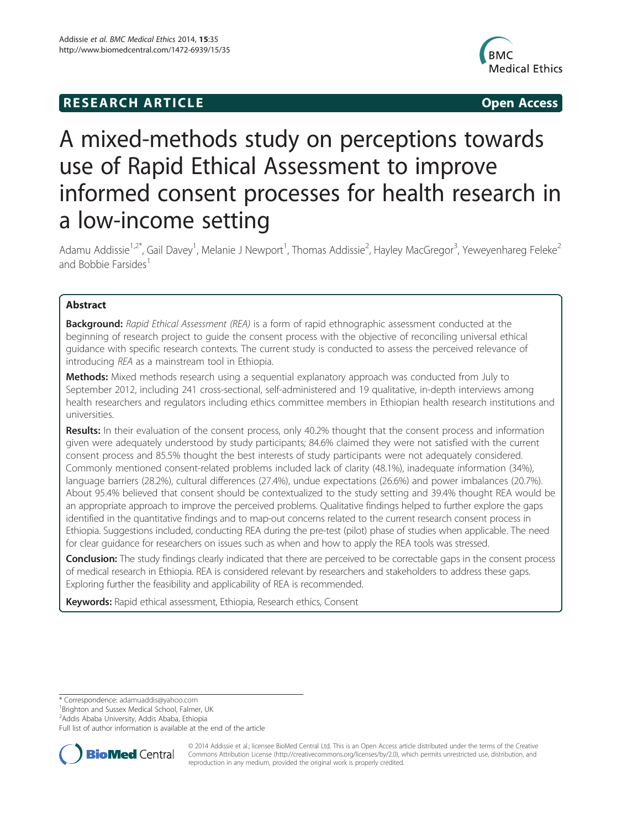## **RESEARCH ARTICLE Example 2018 12:00 Open Access**



# A mixed-methods study on perceptions towards use of Rapid Ethical Assessment to improve informed consent processes for health research in a low-income setting

Adamu Addissie<sup>1,2\*</sup>, Gail Davey<sup>1</sup>, Melanie J Newport<sup>1</sup>, Thomas Addissie<sup>2</sup>, Hayley MacGregor<sup>3</sup>, Yeweyenhareg Feleke<sup>2</sup> and Bobbie Farsides

#### Abstract

Background: Rapid Ethical Assessment (REA) is a form of rapid ethnographic assessment conducted at the beginning of research project to guide the consent process with the objective of reconciling universal ethical guidance with specific research contexts. The current study is conducted to assess the perceived relevance of introducing REA as a mainstream tool in Ethiopia.

Methods: Mixed methods research using a sequential explanatory approach was conducted from July to September 2012, including 241 cross-sectional, self-administered and 19 qualitative, in-depth interviews among health researchers and regulators including ethics committee members in Ethiopian health research institutions and universities.

Results: In their evaluation of the consent process, only 40.2% thought that the consent process and information given were adequately understood by study participants; 84.6% claimed they were not satisfied with the current consent process and 85.5% thought the best interests of study participants were not adequately considered. Commonly mentioned consent-related problems included lack of clarity (48.1%), inadequate information (34%), language barriers (28.2%), cultural differences (27.4%), undue expectations (26.6%) and power imbalances (20.7%). About 95.4% believed that consent should be contextualized to the study setting and 39.4% thought REA would be an appropriate approach to improve the perceived problems. Qualitative findings helped to further explore the gaps identified in the quantitative findings and to map-out concerns related to the current research consent process in Ethiopia. Suggestions included, conducting REA during the pre-test (pilot) phase of studies when applicable. The need for clear guidance for researchers on issues such as when and how to apply the REA tools was stressed.

**Conclusion:** The study findings clearly indicated that there are perceived to be correctable gaps in the consent process of medical research in Ethiopia. REA is considered relevant by researchers and stakeholders to address these gaps. Exploring further the feasibility and applicability of REA is recommended.

Keywords: Rapid ethical assessment, Ethiopia, Research ethics, Consent

\* Correspondence: [adamuaddis@yahoo.com](mailto:adamuaddis@yahoo.com)

<sup>1</sup> Brighton and Sussex Medical School, Falmer, UK

<sup>2</sup>Addis Ababa University, Addis Ababa, Ethiopia

Full list of author information is available at the end of the article



© 2014 Addissie et al.; licensee BioMed Central Ltd. This is an Open Access article distributed under the terms of the Creative Commons Attribution License [\(http://creativecommons.org/licenses/by/2.0\)](http://creativecommons.org/licenses/by/2.0), which permits unrestricted use, distribution, and reproduction in any medium, provided the original work is properly credited.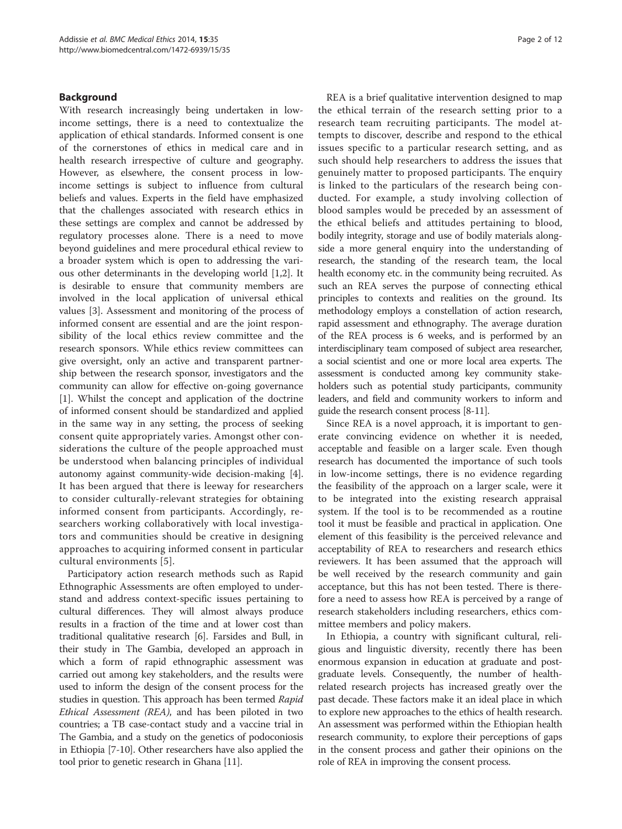#### Background

With research increasingly being undertaken in lowincome settings, there is a need to contextualize the application of ethical standards. Informed consent is one of the cornerstones of ethics in medical care and in health research irrespective of culture and geography. However, as elsewhere, the consent process in lowincome settings is subject to influence from cultural beliefs and values. Experts in the field have emphasized that the challenges associated with research ethics in these settings are complex and cannot be addressed by regulatory processes alone. There is a need to move beyond guidelines and mere procedural ethical review to a broader system which is open to addressing the various other determinants in the developing world [\[1,2](#page-10-0)]. It is desirable to ensure that community members are involved in the local application of universal ethical values [\[3](#page-10-0)]. Assessment and monitoring of the process of informed consent are essential and are the joint responsibility of the local ethics review committee and the research sponsors. While ethics review committees can give oversight, only an active and transparent partnership between the research sponsor, investigators and the community can allow for effective on-going governance [[1\]](#page-10-0). Whilst the concept and application of the doctrine of informed consent should be standardized and applied in the same way in any setting, the process of seeking consent quite appropriately varies. Amongst other considerations the culture of the people approached must be understood when balancing principles of individual autonomy against community-wide decision-making [[4](#page-10-0)]. It has been argued that there is leeway for researchers to consider culturally-relevant strategies for obtaining informed consent from participants. Accordingly, researchers working collaboratively with local investigators and communities should be creative in designing approaches to acquiring informed consent in particular cultural environments [[5\]](#page-10-0).

Participatory action research methods such as Rapid Ethnographic Assessments are often employed to understand and address context-specific issues pertaining to cultural differences. They will almost always produce results in a fraction of the time and at lower cost than traditional qualitative research [\[6](#page-10-0)]. Farsides and Bull, in their study in The Gambia, developed an approach in which a form of rapid ethnographic assessment was carried out among key stakeholders, and the results were used to inform the design of the consent process for the studies in question. This approach has been termed Rapid Ethical Assessment (REA), and has been piloted in two countries; a TB case-contact study and a vaccine trial in The Gambia, and a study on the genetics of podoconiosis in Ethiopia [\[7](#page-10-0)-[10](#page-10-0)]. Other researchers have also applied the tool prior to genetic research in Ghana [\[11\]](#page-10-0).

REA is a brief qualitative intervention designed to map the ethical terrain of the research setting prior to a research team recruiting participants. The model attempts to discover, describe and respond to the ethical issues specific to a particular research setting, and as such should help researchers to address the issues that genuinely matter to proposed participants. The enquiry is linked to the particulars of the research being conducted. For example, a study involving collection of blood samples would be preceded by an assessment of the ethical beliefs and attitudes pertaining to blood, bodily integrity, storage and use of bodily materials alongside a more general enquiry into the understanding of research, the standing of the research team, the local health economy etc. in the community being recruited. As such an REA serves the purpose of connecting ethical principles to contexts and realities on the ground. Its methodology employs a constellation of action research, rapid assessment and ethnography. The average duration of the REA process is 6 weeks, and is performed by an interdisciplinary team composed of subject area researcher, a social scientist and one or more local area experts. The assessment is conducted among key community stakeholders such as potential study participants, community leaders, and field and community workers to inform and guide the research consent process [\[8](#page-10-0)-[11\]](#page-10-0).

Since REA is a novel approach, it is important to generate convincing evidence on whether it is needed, acceptable and feasible on a larger scale. Even though research has documented the importance of such tools in low-income settings, there is no evidence regarding the feasibility of the approach on a larger scale, were it to be integrated into the existing research appraisal system. If the tool is to be recommended as a routine tool it must be feasible and practical in application. One element of this feasibility is the perceived relevance and acceptability of REA to researchers and research ethics reviewers. It has been assumed that the approach will be well received by the research community and gain acceptance, but this has not been tested. There is therefore a need to assess how REA is perceived by a range of research stakeholders including researchers, ethics committee members and policy makers.

In Ethiopia, a country with significant cultural, religious and linguistic diversity, recently there has been enormous expansion in education at graduate and postgraduate levels. Consequently, the number of healthrelated research projects has increased greatly over the past decade. These factors make it an ideal place in which to explore new approaches to the ethics of health research. An assessment was performed within the Ethiopian health research community, to explore their perceptions of gaps in the consent process and gather their opinions on the role of REA in improving the consent process.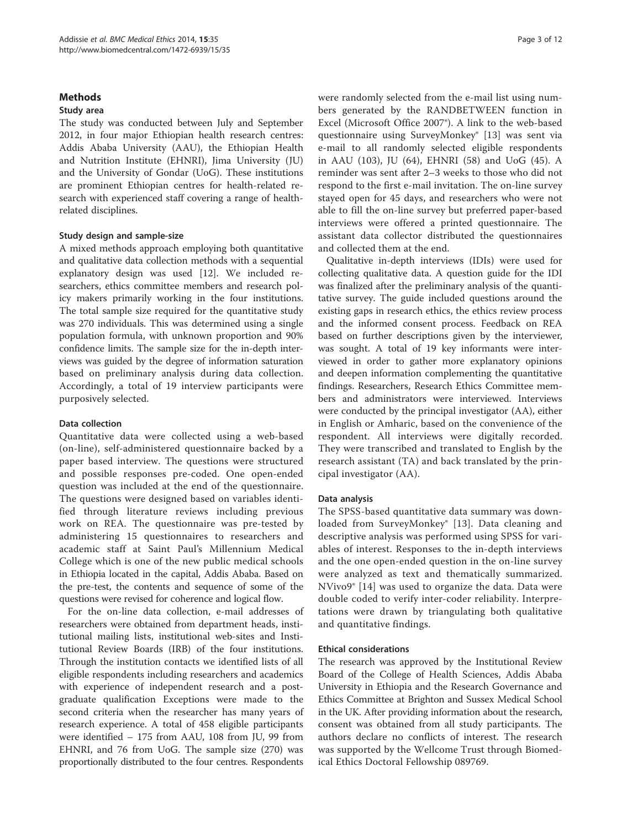#### <span id="page-3-0"></span>**Methods**

#### Study area

The study was conducted between July and September 2012, in four major Ethiopian health research centres: Addis Ababa University (AAU), the Ethiopian Health and Nutrition Institute (EHNRI), Jima University (JU) and the University of Gondar (UoG). These institutions are prominent Ethiopian centres for health-related research with experienced staff covering a range of healthrelated disciplines.

#### Study design and sample-size

A mixed methods approach employing both quantitative and qualitative data collection methods with a sequential explanatory design was used [\[12](#page-11-0)]. We included researchers, ethics committee members and research policy makers primarily working in the four institutions. The total sample size required for the quantitative study was 270 individuals. This was determined using a single population formula, with unknown proportion and 90% confidence limits. The sample size for the in-depth interviews was guided by the degree of information saturation based on preliminary analysis during data collection. Accordingly, a total of 19 interview participants were purposively selected.

#### Data collection

Quantitative data were collected using a web-based (on-line), self-administered questionnaire backed by a paper based interview. The questions were structured and possible responses pre-coded. One open-ended question was included at the end of the questionnaire. The questions were designed based on variables identified through literature reviews including previous work on REA. The questionnaire was pre-tested by administering 15 questionnaires to researchers and academic staff at Saint Paul's Millennium Medical College which is one of the new public medical schools in Ethiopia located in the capital, Addis Ababa. Based on the pre-test, the contents and sequence of some of the questions were revised for coherence and logical flow.

For the on-line data collection, e-mail addresses of researchers were obtained from department heads, institutional mailing lists, institutional web-sites and Institutional Review Boards (IRB) of the four institutions. Through the institution contacts we identified lists of all eligible respondents including researchers and academics with experience of independent research and a postgraduate qualification Exceptions were made to the second criteria when the researcher has many years of research experience. A total of 458 eligible participants were identified – 175 from AAU, 108 from JU, 99 from EHNRI, and 76 from UoG. The sample size (270) was proportionally distributed to the four centres. Respondents were randomly selected from the e-mail list using numbers generated by the RANDBETWEEN function in Excel (Microsoft Office 2007®). A link to the web-based questionnaire using SurveyMonkey® [[13\]](#page-11-0) was sent via e-mail to all randomly selected eligible respondents in AAU (103), JU (64), EHNRI (58) and UoG (45). A reminder was sent after 2–3 weeks to those who did not respond to the first e-mail invitation. The on-line survey stayed open for 45 days, and researchers who were not able to fill the on-line survey but preferred paper-based interviews were offered a printed questionnaire. The assistant data collector distributed the questionnaires and collected them at the end.

Qualitative in-depth interviews (IDIs) were used for collecting qualitative data. A question guide for the IDI was finalized after the preliminary analysis of the quantitative survey. The guide included questions around the existing gaps in research ethics, the ethics review process and the informed consent process. Feedback on REA based on further descriptions given by the interviewer, was sought. A total of 19 key informants were interviewed in order to gather more explanatory opinions and deepen information complementing the quantitative findings. Researchers, Research Ethics Committee members and administrators were interviewed. Interviews were conducted by the principal investigator (AA), either in English or Amharic, based on the convenience of the respondent. All interviews were digitally recorded. They were transcribed and translated to English by the research assistant (TA) and back translated by the principal investigator (AA).

#### Data analysis

The SPSS-based quantitative data summary was down-loaded from SurveyMonkey<sup>®</sup> [\[13\]](#page-11-0). Data cleaning and descriptive analysis was performed using SPSS for variables of interest. Responses to the in-depth interviews and the one open-ended question in the on-line survey were analyzed as text and thematically summarized. NVivo9® [[14](#page-11-0)] was used to organize the data. Data were double coded to verify inter-coder reliability. Interpretations were drawn by triangulating both qualitative and quantitative findings.

#### Ethical considerations

The research was approved by the Institutional Review Board of the College of Health Sciences, Addis Ababa University in Ethiopia and the Research Governance and Ethics Committee at Brighton and Sussex Medical School in the UK. After providing information about the research, consent was obtained from all study participants. The authors declare no conflicts of interest. The research was supported by the Wellcome Trust through Biomedical Ethics Doctoral Fellowship 089769.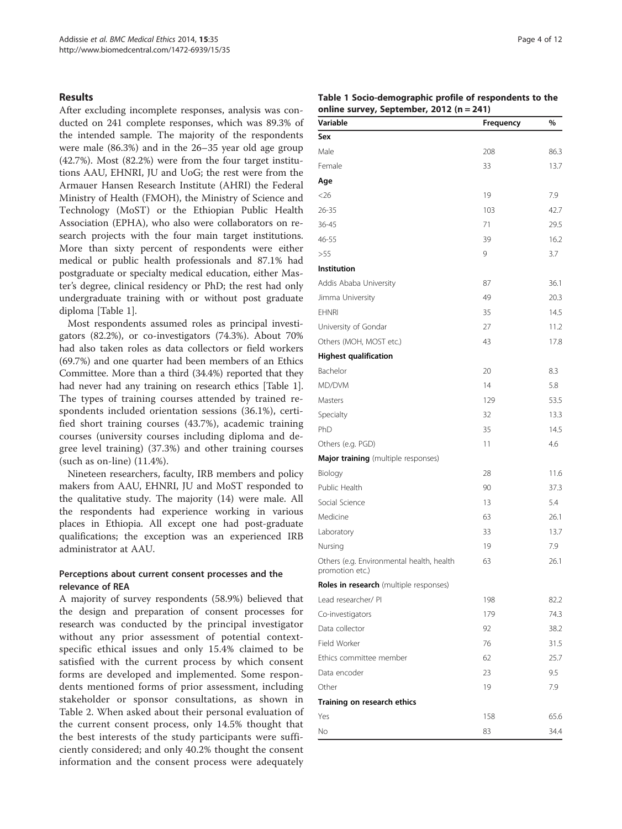#### <span id="page-4-0"></span>Results

After excluding incomplete responses, analysis was conducted on 241 complete responses, which was 89.3% of the intended sample. The majority of the respondents were male (86.3%) and in the 26–35 year old age group (42.7%). Most (82.2%) were from the four target institutions AAU, EHNRI, JU and UoG; the rest were from the Armauer Hansen Research Institute (AHRI) the Federal Ministry of Health (FMOH), the Ministry of Science and Technology (MoST) or the Ethiopian Public Health Association (EPHA), who also were collaborators on research projects with the four main target institutions. More than sixty percent of respondents were either medical or public health professionals and 87.1% had postgraduate or specialty medical education, either Master's degree, clinical residency or PhD; the rest had only undergraduate training with or without post graduate diploma [Table [1\]](#page-3-0).

Most respondents assumed roles as principal investigators (82.2%), or co-investigators (74.3%). About 70% had also taken roles as data collectors or field workers (69.7%) and one quarter had been members of an Ethics Committee. More than a third (34.4%) reported that they had never had any training on research ethics [Table [1](#page-3-0)]. The types of training courses attended by trained respondents included orientation sessions (36.1%), certified short training courses (43.7%), academic training courses (university courses including diploma and degree level training) (37.3%) and other training courses (such as on-line) (11.4%).

Nineteen researchers, faculty, IRB members and policy makers from AAU, EHNRI, JU and MoST responded to the qualitative study. The majority (14) were male. All the respondents had experience working in various places in Ethiopia. All except one had post-graduate qualifications; the exception was an experienced IRB administrator at AAU.

#### Perceptions about current consent processes and the relevance of REA

A majority of survey respondents (58.9%) believed that the design and preparation of consent processes for research was conducted by the principal investigator without any prior assessment of potential contextspecific ethical issues and only 15.4% claimed to be satisfied with the current process by which consent forms are developed and implemented. Some respondents mentioned forms of prior assessment, including stakeholder or sponsor consultations, as shown in Table 2. When asked about their personal evaluation of the current consent process, only 14.5% thought that the best interests of the study participants were sufficiently considered; and only 40.2% thought the consent information and the consent process were adequately

| Page 4 of 12 |  |  |  |
|--------------|--|--|--|
|--------------|--|--|--|

#### Table 1 Socio-demographic profile of respondents to the online survey, September, 2012 (n = 241)

| Variable                                                     | Frequency | %    |
|--------------------------------------------------------------|-----------|------|
| Sex                                                          |           |      |
| Male                                                         | 208       | 86.3 |
| Female                                                       | 33        | 13.7 |
| Age                                                          |           |      |
| <26                                                          | 19        | 7.9  |
| $26 - 35$                                                    | 103       | 42.7 |
| 36-45                                                        | 71        | 29.5 |
| 46-55                                                        | 39        | 16.2 |
| >55                                                          | 9         | 3.7  |
| Institution                                                  |           |      |
| Addis Ababa University                                       | 87        | 36.1 |
| Jimma University                                             | 49        | 20.3 |
| <b>EHNRI</b>                                                 | 35        | 14.5 |
| University of Gondar                                         | 27        | 11.2 |
| Others (MOH, MOST etc.)                                      | 43        | 17.8 |
| <b>Highest qualification</b>                                 |           |      |
| Bachelor                                                     | 20        | 8.3  |
| MD/DVM                                                       | 14        | 5.8  |
| Masters                                                      | 129       | 53.5 |
| Specialty                                                    | 32        | 13.3 |
| PhD                                                          | 35        | 14.5 |
| Others (e.g. PGD)                                            | 11        | 4.6  |
| Major training (multiple responses)                          |           |      |
| Biology                                                      | 28        | 11.6 |
| Public Health                                                | 90        | 37.3 |
| Social Science                                               | 13        | 5.4  |
| Medicine                                                     | 63        | 26.1 |
| Laboratory                                                   | 33        | 13.7 |
| Nursing                                                      | 19        | 7.9  |
| Others (e.g. Environmental health, health<br>promotion etc.) | 63        | 26.1 |
| Roles in research (multiple responses)                       |           |      |
| Lead researcher/ PI                                          | 198       | 82.2 |
| Co-investigators                                             | 179       | 74.3 |
| Data collector                                               | 92        | 38.2 |
| Field Worker                                                 | 76        | 31.5 |
| Ethics committee member                                      | 62        | 25.7 |
| Data encoder                                                 | 23        | 9.5  |
| Other                                                        | 19        | 7.9  |
| Training on research ethics                                  |           |      |
| Yes                                                          | 158       | 65.6 |
| No                                                           | 83        | 34.4 |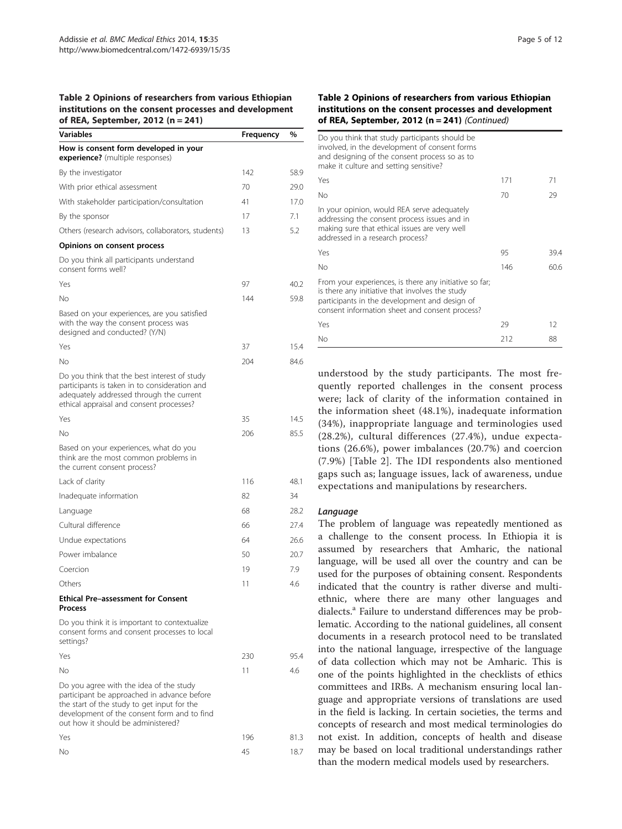#### Table 2 Opinions of researchers from various Ethiopian institutions on the consent processes and development of RFA, September, 2012 ( $n = 241$ )

| Variables                                                                                                                                                                             | Frequency | $\frac{0}{0}$ |
|---------------------------------------------------------------------------------------------------------------------------------------------------------------------------------------|-----------|---------------|
| How is consent form developed in your<br>experience? (multiple responses)                                                                                                             |           |               |
| By the investigator                                                                                                                                                                   | 142       | 58.9          |
| With prior ethical assessment                                                                                                                                                         | 70        | 29.0          |
| With stakeholder participation/consultation                                                                                                                                           | 41        | 17.0          |
| By the sponsor                                                                                                                                                                        | 17        | 7.1           |
| Others (research advisors, collaborators, students)                                                                                                                                   | 13        | 5.2           |
| Opinions on consent process                                                                                                                                                           |           |               |
| Do you think all participants understand<br>consent forms well?                                                                                                                       |           |               |
| Yes                                                                                                                                                                                   | 97        | 40.2          |
| No                                                                                                                                                                                    | 144       | 59.8          |
| Based on your experiences, are you satisfied<br>with the way the consent process was<br>designed and conducted? (Y/N)                                                                 |           |               |
| Yes                                                                                                                                                                                   | 37        | 15.4          |
| Nο                                                                                                                                                                                    | 204       | 84.6          |
| Do you think that the best interest of study<br>participants is taken in to consideration and<br>adequately addressed through the current<br>ethical appraisal and consent processes? |           |               |
| Yes                                                                                                                                                                                   | 35        | 14.5          |
| No                                                                                                                                                                                    | 206       | 85.5          |
| Based on your experiences, what do you<br>think are the most common problems in<br>the current consent process?                                                                       |           |               |
| Lack of clarity                                                                                                                                                                       | 116       | 48.1          |
| Inadequate information                                                                                                                                                                | 82        | 34            |
| Language                                                                                                                                                                              | 68        | 28.2          |
| Cultural difference                                                                                                                                                                   | 66        | 27.4          |
| Undue expectations                                                                                                                                                                    | 64        | 26.6          |
| Power imbalance                                                                                                                                                                       | 50        | 20.7          |
| Coercion                                                                                                                                                                              | 19        | 7.9           |
| Others                                                                                                                                                                                | 11        | 4.6           |
| <b>Ethical Pre-assessment for Consent</b><br><b>Process</b>                                                                                                                           |           |               |
| Do you think it is important to contextualize<br>consent forms and consent processes to local<br>settings?                                                                            |           |               |
|                                                                                                                                                                                       |           |               |

| Yes | 230 | 95.4 |
|-----|-----|------|
| No  | 11  | 4.6  |

Do you agree with the idea of the study participant be approached in advance before the start of the study to get input for the development of the consent form and to find out how it should be administered?

| Yes       | 196 | 81.3 |
|-----------|-----|------|
| <b>No</b> | 45  | 18.7 |

#### Table 2 Opinions of researchers from various Ethiopian institutions on the consent processes and development of REA, September, 2012 (n = 241) (Continued)

| Do you think that study participants should be<br>involved, in the development of consent forms<br>and designing of the consent process so as to<br>make it culture and setting sensitive?                   |     |      |
|--------------------------------------------------------------------------------------------------------------------------------------------------------------------------------------------------------------|-----|------|
| Yes                                                                                                                                                                                                          | 171 | 71   |
| Νo                                                                                                                                                                                                           | 70  | 29   |
| In your opinion, would REA serve adequately<br>addressing the consent process issues and in<br>making sure that ethical issues are very well<br>addressed in a research process?                             |     |      |
| Yes                                                                                                                                                                                                          | 95  | 39.4 |
| No                                                                                                                                                                                                           | 146 | 60.6 |
| From your experiences, is there any initiative so far;<br>is there any initiative that involves the study<br>participants in the development and design of<br>consent information sheet and consent process? |     |      |
| Yes                                                                                                                                                                                                          | 29  | 12   |
| Nο                                                                                                                                                                                                           | 212 | 88   |

understood by the study participants. The most frequently reported challenges in the consent process were; lack of clarity of the information contained in the information sheet (48.1%), inadequate information (34%), inappropriate language and terminologies used (28.2%), cultural differences (27.4%), undue expectations (26.6%), power imbalances (20.7%) and coercion (7.9%) [Table [2\]](#page-4-0). The IDI respondents also mentioned gaps such as; language issues, lack of awareness, undue expectations and manipulations by researchers.

#### Language

The problem of language was repeatedly mentioned as a challenge to the consent process. In Ethiopia it is assumed by researchers that Amharic, the national language, will be used all over the country and can be used for the purposes of obtaining consent. Respondents indicated that the country is rather diverse and multiethnic, where there are many other languages and dialects.<sup>a</sup> Failure to understand differences may be problematic. According to the national guidelines, all consent documents in a research protocol need to be translated into the national language, irrespective of the language of data collection which may not be Amharic. This is one of the points highlighted in the checklists of ethics committees and IRBs. A mechanism ensuring local language and appropriate versions of translations are used in the field is lacking. In certain societies, the terms and concepts of research and most medical terminologies do not exist. In addition, concepts of health and disease may be based on local traditional understandings rather than the modern medical models used by researchers.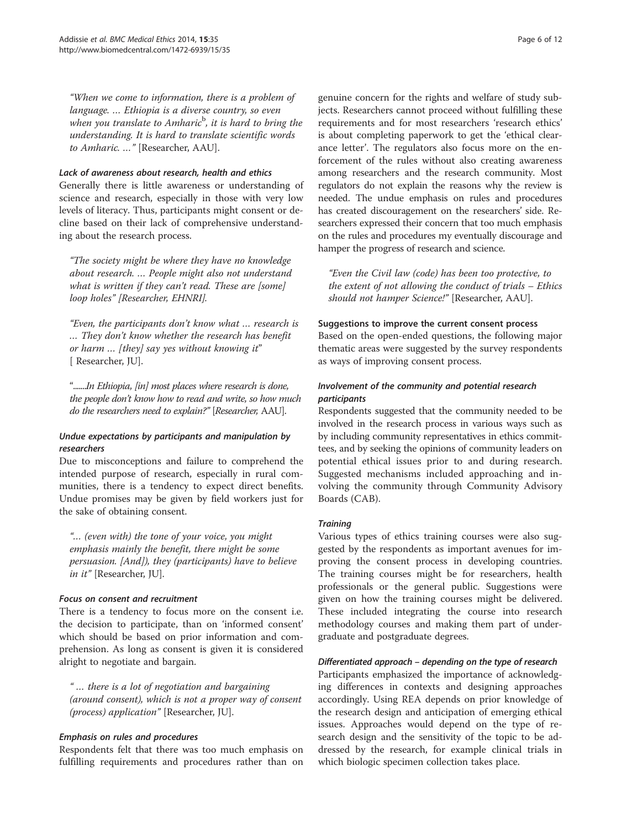"When we come to information, there is a problem of language. … Ethiopia is a diverse country, so even when you translate to Amharic<sup>b</sup>, it is hard to bring the understanding. It is hard to translate scientific words to Amharic. …" [Researcher, AAU].

#### Lack of awareness about research, health and ethics

Generally there is little awareness or understanding of science and research, especially in those with very low levels of literacy. Thus, participants might consent or decline based on their lack of comprehensive understanding about the research process.

"The society might be where they have no knowledge about research. … People might also not understand what is written if they can't read. These are [some] loop holes" [Researcher, EHNRI].

"Even, the participants don't know what … research is … They don't know whether the research has benefit or harm … [they] say yes without knowing it" [ Researcher, JU].

".......In Ethiopia, [in] most places where research is done, the people don't know how to read and write, so how much do the researchers need to explain?" [Researcher, AAU].

#### Undue expectations by participants and manipulation by researchers

Due to misconceptions and failure to comprehend the intended purpose of research, especially in rural communities, there is a tendency to expect direct benefits. Undue promises may be given by field workers just for the sake of obtaining consent.

"… (even with) the tone of your voice, you might emphasis mainly the benefit, there might be some persuasion. [And]), they (participants) have to believe in it" [Researcher, JU].

#### Focus on consent and recruitment

There is a tendency to focus more on the consent i.e. the decision to participate, than on 'informed consent' which should be based on prior information and comprehension. As long as consent is given it is considered alright to negotiate and bargain.

" … there is a lot of negotiation and bargaining (around consent), which is not a proper way of consent (process) application" [Researcher, JU].

#### Emphasis on rules and procedures

Respondents felt that there was too much emphasis on fulfilling requirements and procedures rather than on

genuine concern for the rights and welfare of study subjects. Researchers cannot proceed without fulfilling these requirements and for most researchers 'research ethics' is about completing paperwork to get the 'ethical clearance letter'. The regulators also focus more on the enforcement of the rules without also creating awareness among researchers and the research community. Most regulators do not explain the reasons why the review is needed. The undue emphasis on rules and procedures has created discouragement on the researchers' side. Researchers expressed their concern that too much emphasis on the rules and procedures my eventually discourage and hamper the progress of research and science.

"Even the Civil law (code) has been too protective, to the extent of not allowing the conduct of trials – Ethics should not hamper Science!" [Researcher, AAU].

#### Suggestions to improve the current consent process

Based on the open-ended questions, the following major thematic areas were suggested by the survey respondents as ways of improving consent process.

#### Involvement of the community and potential research participants

Respondents suggested that the community needed to be involved in the research process in various ways such as by including community representatives in ethics committees, and by seeking the opinions of community leaders on potential ethical issues prior to and during research. Suggested mechanisms included approaching and involving the community through Community Advisory Boards (CAB).

#### **Training**

Various types of ethics training courses were also suggested by the respondents as important avenues for improving the consent process in developing countries. The training courses might be for researchers, health professionals or the general public. Suggestions were given on how the training courses might be delivered. These included integrating the course into research methodology courses and making them part of undergraduate and postgraduate degrees.

#### Differentiated approach – depending on the type of research

Participants emphasized the importance of acknowledging differences in contexts and designing approaches accordingly. Using REA depends on prior knowledge of the research design and anticipation of emerging ethical issues. Approaches would depend on the type of research design and the sensitivity of the topic to be addressed by the research, for example clinical trials in which biologic specimen collection takes place.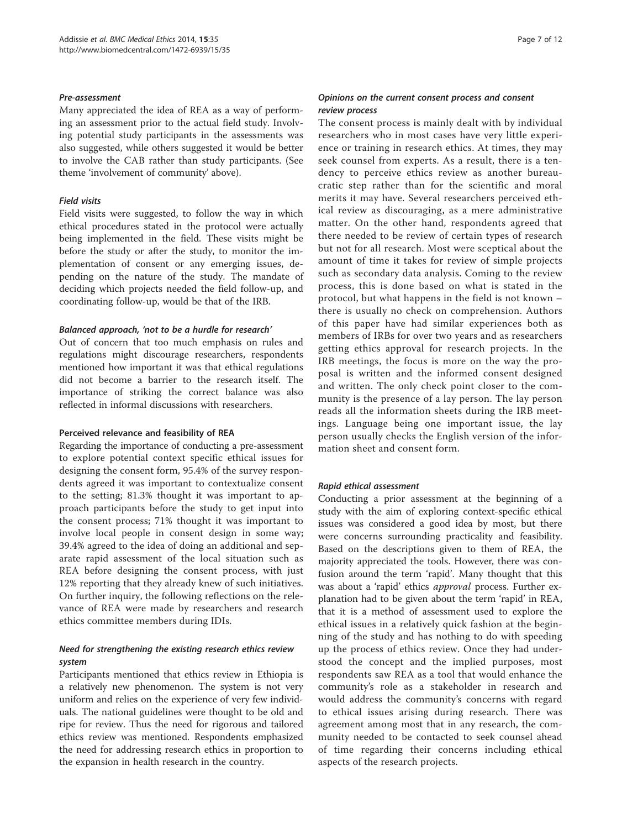#### Pre-assessment

Many appreciated the idea of REA as a way of performing an assessment prior to the actual field study. Involving potential study participants in the assessments was also suggested, while others suggested it would be better to involve the CAB rather than study participants. (See theme 'involvement of community' above).

#### Field visits

Field visits were suggested, to follow the way in which ethical procedures stated in the protocol were actually being implemented in the field. These visits might be before the study or after the study, to monitor the implementation of consent or any emerging issues, depending on the nature of the study. The mandate of deciding which projects needed the field follow-up, and coordinating follow-up, would be that of the IRB.

#### Balanced approach, 'not to be a hurdle for research'

Out of concern that too much emphasis on rules and regulations might discourage researchers, respondents mentioned how important it was that ethical regulations did not become a barrier to the research itself. The importance of striking the correct balance was also reflected in informal discussions with researchers.

#### Perceived relevance and feasibility of REA

Regarding the importance of conducting a pre-assessment to explore potential context specific ethical issues for designing the consent form, 95.4% of the survey respondents agreed it was important to contextualize consent to the setting; 81.3% thought it was important to approach participants before the study to get input into the consent process; 71% thought it was important to involve local people in consent design in some way; 39.4% agreed to the idea of doing an additional and separate rapid assessment of the local situation such as REA before designing the consent process, with just 12% reporting that they already knew of such initiatives. On further inquiry, the following reflections on the relevance of REA were made by researchers and research ethics committee members during IDIs.

#### Need for strengthening the existing research ethics review system

Participants mentioned that ethics review in Ethiopia is a relatively new phenomenon. The system is not very uniform and relies on the experience of very few individuals. The national guidelines were thought to be old and ripe for review. Thus the need for rigorous and tailored ethics review was mentioned. Respondents emphasized the need for addressing research ethics in proportion to the expansion in health research in the country.

#### Opinions on the current consent process and consent review process

The consent process is mainly dealt with by individual researchers who in most cases have very little experience or training in research ethics. At times, they may seek counsel from experts. As a result, there is a tendency to perceive ethics review as another bureaucratic step rather than for the scientific and moral merits it may have. Several researchers perceived ethical review as discouraging, as a mere administrative matter. On the other hand, respondents agreed that there needed to be review of certain types of research but not for all research. Most were sceptical about the amount of time it takes for review of simple projects such as secondary data analysis. Coming to the review process, this is done based on what is stated in the protocol, but what happens in the field is not known – there is usually no check on comprehension. Authors of this paper have had similar experiences both as members of IRBs for over two years and as researchers getting ethics approval for research projects. In the IRB meetings, the focus is more on the way the proposal is written and the informed consent designed and written. The only check point closer to the community is the presence of a lay person. The lay person reads all the information sheets during the IRB meetings. Language being one important issue, the lay person usually checks the English version of the information sheet and consent form.

#### Rapid ethical assessment

Conducting a prior assessment at the beginning of a study with the aim of exploring context-specific ethical issues was considered a good idea by most, but there were concerns surrounding practicality and feasibility. Based on the descriptions given to them of REA, the majority appreciated the tools. However, there was confusion around the term 'rapid'. Many thought that this was about a 'rapid' ethics *approval* process. Further explanation had to be given about the term 'rapid' in REA, that it is a method of assessment used to explore the ethical issues in a relatively quick fashion at the beginning of the study and has nothing to do with speeding up the process of ethics review. Once they had understood the concept and the implied purposes, most respondents saw REA as a tool that would enhance the community's role as a stakeholder in research and would address the community's concerns with regard to ethical issues arising during research. There was agreement among most that in any research, the community needed to be contacted to seek counsel ahead of time regarding their concerns including ethical aspects of the research projects.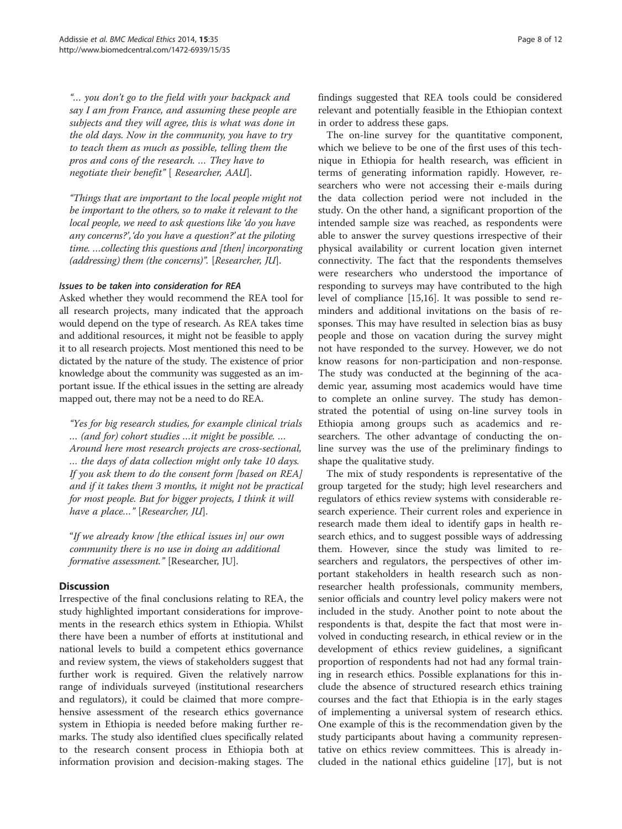"… you don't go to the field with your backpack and say I am from France, and assuming these people are subjects and they will agree, this is what was done in the old days. Now in the community, you have to try to teach them as much as possible, telling them the pros and cons of the research. … They have to negotiate their benefit" [ Researcher, AAU].

"Things that are important to the local people might not be important to the others, so to make it relevant to the local people, we need to ask questions like 'do you have any concerns?','do you have a question?' at the piloting time. …collecting this questions and [then] incorporating (addressing) them (the concerns)". [Researcher, JU].

#### Issues to be taken into consideration for REA

Asked whether they would recommend the REA tool for all research projects, many indicated that the approach would depend on the type of research. As REA takes time and additional resources, it might not be feasible to apply it to all research projects. Most mentioned this need to be dictated by the nature of the study. The existence of prior knowledge about the community was suggested as an important issue. If the ethical issues in the setting are already mapped out, there may not be a need to do REA.

"Yes for big research studies, for example clinical trials … (and for) cohort studies …it might be possible. … Around here most research projects are cross-sectional, … the days of data collection might only take 10 days. If you ask them to do the consent form [based on REA] and if it takes them 3 months, it might not be practical for most people. But for bigger projects, I think it will have a place..." [Researcher, JU].

"If we already know [the ethical issues in] our own community there is no use in doing an additional formative assessment." [Researcher, JU].

#### **Discussion**

Irrespective of the final conclusions relating to REA, the study highlighted important considerations for improvements in the research ethics system in Ethiopia. Whilst there have been a number of efforts at institutional and national levels to build a competent ethics governance and review system, the views of stakeholders suggest that further work is required. Given the relatively narrow range of individuals surveyed (institutional researchers and regulators), it could be claimed that more comprehensive assessment of the research ethics governance system in Ethiopia is needed before making further remarks. The study also identified clues specifically related to the research consent process in Ethiopia both at information provision and decision-making stages. The findings suggested that REA tools could be considered relevant and potentially feasible in the Ethiopian context in order to address these gaps.

The on-line survey for the quantitative component, which we believe to be one of the first uses of this technique in Ethiopia for health research, was efficient in terms of generating information rapidly. However, researchers who were not accessing their e-mails during the data collection period were not included in the study. On the other hand, a significant proportion of the intended sample size was reached, as respondents were able to answer the survey questions irrespective of their physical availability or current location given internet connectivity. The fact that the respondents themselves were researchers who understood the importance of responding to surveys may have contributed to the high level of compliance [[15](#page-11-0),[16](#page-11-0)]. It was possible to send reminders and additional invitations on the basis of responses. This may have resulted in selection bias as busy people and those on vacation during the survey might not have responded to the survey. However, we do not know reasons for non-participation and non-response. The study was conducted at the beginning of the academic year, assuming most academics would have time to complete an online survey. The study has demonstrated the potential of using on-line survey tools in Ethiopia among groups such as academics and researchers. The other advantage of conducting the online survey was the use of the preliminary findings to shape the qualitative study.

The mix of study respondents is representative of the group targeted for the study; high level researchers and regulators of ethics review systems with considerable research experience. Their current roles and experience in research made them ideal to identify gaps in health research ethics, and to suggest possible ways of addressing them. However, since the study was limited to researchers and regulators, the perspectives of other important stakeholders in health research such as nonresearcher health professionals, community members, senior officials and country level policy makers were not included in the study. Another point to note about the respondents is that, despite the fact that most were involved in conducting research, in ethical review or in the development of ethics review guidelines, a significant proportion of respondents had not had any formal training in research ethics. Possible explanations for this include the absence of structured research ethics training courses and the fact that Ethiopia is in the early stages of implementing a universal system of research ethics. One example of this is the recommendation given by the study participants about having a community representative on ethics review committees. This is already included in the national ethics guideline [\[17](#page-11-0)], but is not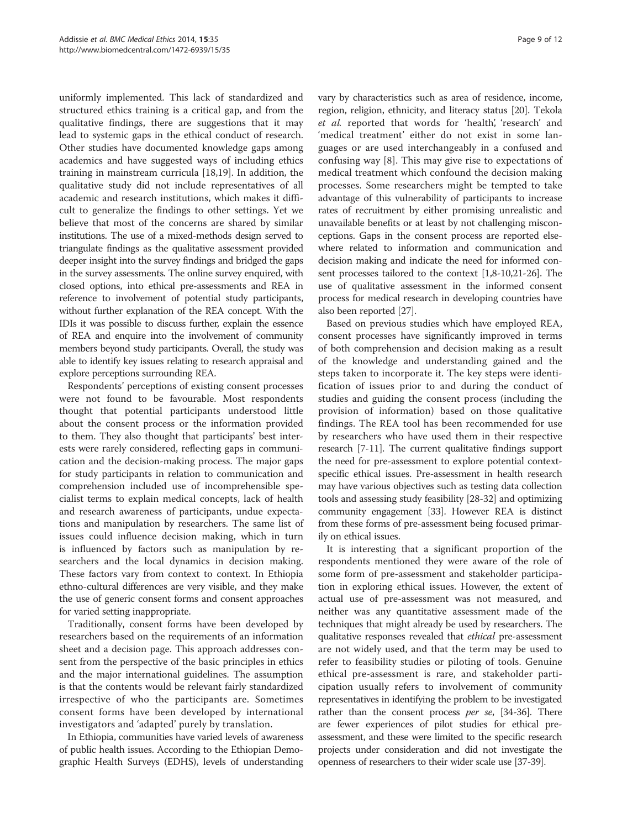uniformly implemented. This lack of standardized and structured ethics training is a critical gap, and from the qualitative findings, there are suggestions that it may lead to systemic gaps in the ethical conduct of research. Other studies have documented knowledge gaps among academics and have suggested ways of including ethics training in mainstream curricula [[18,19](#page-11-0)]. In addition, the qualitative study did not include representatives of all academic and research institutions, which makes it difficult to generalize the findings to other settings. Yet we believe that most of the concerns are shared by similar institutions. The use of a mixed-methods design served to triangulate findings as the qualitative assessment provided deeper insight into the survey findings and bridged the gaps in the survey assessments. The online survey enquired, with closed options, into ethical pre-assessments and REA in reference to involvement of potential study participants, without further explanation of the REA concept. With the IDIs it was possible to discuss further, explain the essence of REA and enquire into the involvement of community members beyond study participants. Overall, the study was able to identify key issues relating to research appraisal and explore perceptions surrounding REA.

Respondents' perceptions of existing consent processes were not found to be favourable. Most respondents thought that potential participants understood little about the consent process or the information provided to them. They also thought that participants' best interests were rarely considered, reflecting gaps in communication and the decision-making process. The major gaps for study participants in relation to communication and comprehension included use of incomprehensible specialist terms to explain medical concepts, lack of health and research awareness of participants, undue expectations and manipulation by researchers. The same list of issues could influence decision making, which in turn is influenced by factors such as manipulation by researchers and the local dynamics in decision making. These factors vary from context to context. In Ethiopia ethno-cultural differences are very visible, and they make the use of generic consent forms and consent approaches for varied setting inappropriate.

Traditionally, consent forms have been developed by researchers based on the requirements of an information sheet and a decision page. This approach addresses consent from the perspective of the basic principles in ethics and the major international guidelines. The assumption is that the contents would be relevant fairly standardized irrespective of who the participants are. Sometimes consent forms have been developed by international investigators and 'adapted' purely by translation.

In Ethiopia, communities have varied levels of awareness of public health issues. According to the Ethiopian Demographic Health Surveys (EDHS), levels of understanding vary by characteristics such as area of residence, income, region, religion, ethnicity, and literacy status [[20](#page-11-0)]. Tekola et al. reported that words for 'health', 'research' and 'medical treatment' either do not exist in some languages or are used interchangeably in a confused and confusing way [[8\]](#page-10-0). This may give rise to expectations of medical treatment which confound the decision making processes. Some researchers might be tempted to take advantage of this vulnerability of participants to increase rates of recruitment by either promising unrealistic and unavailable benefits or at least by not challenging misconceptions. Gaps in the consent process are reported elsewhere related to information and communication and decision making and indicate the need for informed consent processes tailored to the context [\[1,8](#page-10-0)-[10](#page-10-0)[,21-26\]](#page-11-0). The use of qualitative assessment in the informed consent process for medical research in developing countries have also been reported [\[27\]](#page-11-0).

Based on previous studies which have employed REA, consent processes have significantly improved in terms of both comprehension and decision making as a result of the knowledge and understanding gained and the steps taken to incorporate it. The key steps were identification of issues prior to and during the conduct of studies and guiding the consent process (including the provision of information) based on those qualitative findings. The REA tool has been recommended for use by researchers who have used them in their respective research [\[7](#page-10-0)-[11](#page-10-0)]. The current qualitative findings support the need for pre-assessment to explore potential contextspecific ethical issues. Pre-assessment in health research may have various objectives such as testing data collection tools and assessing study feasibility [[28-32\]](#page-11-0) and optimizing community engagement [\[33](#page-11-0)]. However REA is distinct from these forms of pre-assessment being focused primarily on ethical issues.

It is interesting that a significant proportion of the respondents mentioned they were aware of the role of some form of pre-assessment and stakeholder participation in exploring ethical issues. However, the extent of actual use of pre-assessment was not measured, and neither was any quantitative assessment made of the techniques that might already be used by researchers. The qualitative responses revealed that ethical pre-assessment are not widely used, and that the term may be used to refer to feasibility studies or piloting of tools. Genuine ethical pre-assessment is rare, and stakeholder participation usually refers to involvement of community representatives in identifying the problem to be investigated rather than the consent process *per se*, [\[34-36](#page-11-0)]. There are fewer experiences of pilot studies for ethical preassessment, and these were limited to the specific research projects under consideration and did not investigate the openness of researchers to their wider scale use [[37-39\]](#page-11-0).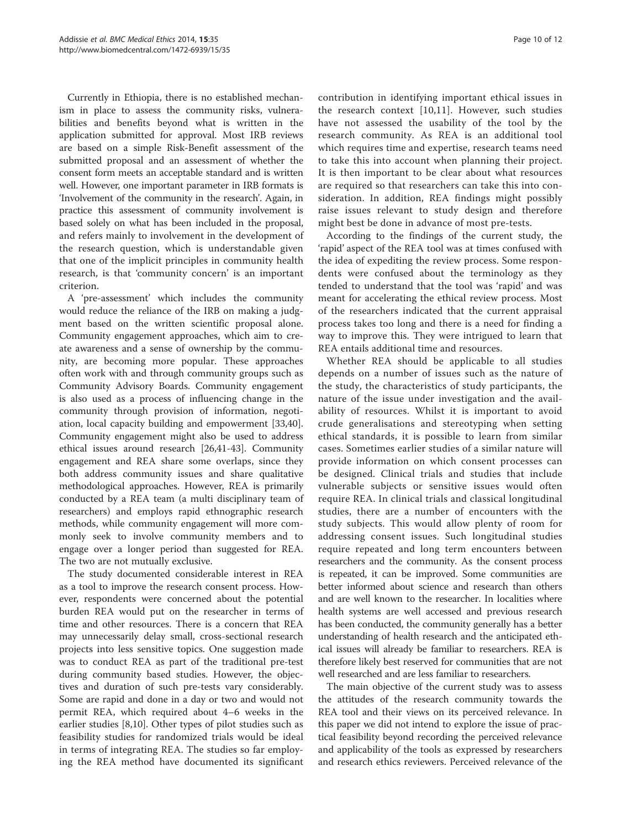<span id="page-10-0"></span>Currently in Ethiopia, there is no established mechanism in place to assess the community risks, vulnerabilities and benefits beyond what is written in the application submitted for approval. Most IRB reviews are based on a simple Risk-Benefit assessment of the submitted proposal and an assessment of whether the consent form meets an acceptable standard and is written well. However, one important parameter in IRB formats is 'Involvement of the community in the research'. Again, in practice this assessment of community involvement is based solely on what has been included in the proposal, and refers mainly to involvement in the development of the research question, which is understandable given that one of the implicit principles in community health research, is that 'community concern' is an important criterion.

A 'pre-assessment' which includes the community would reduce the reliance of the IRB on making a judgment based on the written scientific proposal alone. Community engagement approaches, which aim to create awareness and a sense of ownership by the community, are becoming more popular. These approaches often work with and through community groups such as Community Advisory Boards. Community engagement is also used as a process of influencing change in the community through provision of information, negotiation, local capacity building and empowerment [\[33,40](#page-11-0)]. Community engagement might also be used to address ethical issues around research [[26,41](#page-11-0)-[43\]](#page-11-0). Community engagement and REA share some overlaps, since they both address community issues and share qualitative methodological approaches. However, REA is primarily conducted by a REA team (a multi disciplinary team of researchers) and employs rapid ethnographic research methods, while community engagement will more commonly seek to involve community members and to engage over a longer period than suggested for REA. The two are not mutually exclusive.

The study documented considerable interest in REA as a tool to improve the research consent process. However, respondents were concerned about the potential burden REA would put on the researcher in terms of time and other resources. There is a concern that REA may unnecessarily delay small, cross-sectional research projects into less sensitive topics. One suggestion made was to conduct REA as part of the traditional pre-test during community based studies. However, the objectives and duration of such pre-tests vary considerably. Some are rapid and done in a day or two and would not permit REA, which required about 4–6 weeks in the earlier studies [8,10]. Other types of pilot studies such as feasibility studies for randomized trials would be ideal in terms of integrating REA. The studies so far employing the REA method have documented its significant

contribution in identifying important ethical issues in the research context [10,11]. However, such studies have not assessed the usability of the tool by the research community. As REA is an additional tool which requires time and expertise, research teams need to take this into account when planning their project. It is then important to be clear about what resources are required so that researchers can take this into consideration. In addition, REA findings might possibly raise issues relevant to study design and therefore might best be done in advance of most pre-tests.

According to the findings of the current study, the 'rapid' aspect of the REA tool was at times confused with the idea of expediting the review process. Some respondents were confused about the terminology as they tended to understand that the tool was 'rapid' and was meant for accelerating the ethical review process. Most of the researchers indicated that the current appraisal process takes too long and there is a need for finding a way to improve this. They were intrigued to learn that REA entails additional time and resources.

Whether REA should be applicable to all studies depends on a number of issues such as the nature of the study, the characteristics of study participants, the nature of the issue under investigation and the availability of resources. Whilst it is important to avoid crude generalisations and stereotyping when setting ethical standards, it is possible to learn from similar cases. Sometimes earlier studies of a similar nature will provide information on which consent processes can be designed. Clinical trials and studies that include vulnerable subjects or sensitive issues would often require REA. In clinical trials and classical longitudinal studies, there are a number of encounters with the study subjects. This would allow plenty of room for addressing consent issues. Such longitudinal studies require repeated and long term encounters between researchers and the community. As the consent process is repeated, it can be improved. Some communities are better informed about science and research than others and are well known to the researcher. In localities where health systems are well accessed and previous research has been conducted, the community generally has a better understanding of health research and the anticipated ethical issues will already be familiar to researchers. REA is therefore likely best reserved for communities that are not well researched and are less familiar to researchers.

The main objective of the current study was to assess the attitudes of the research community towards the REA tool and their views on its perceived relevance. In this paper we did not intend to explore the issue of practical feasibility beyond recording the perceived relevance and applicability of the tools as expressed by researchers and research ethics reviewers. Perceived relevance of the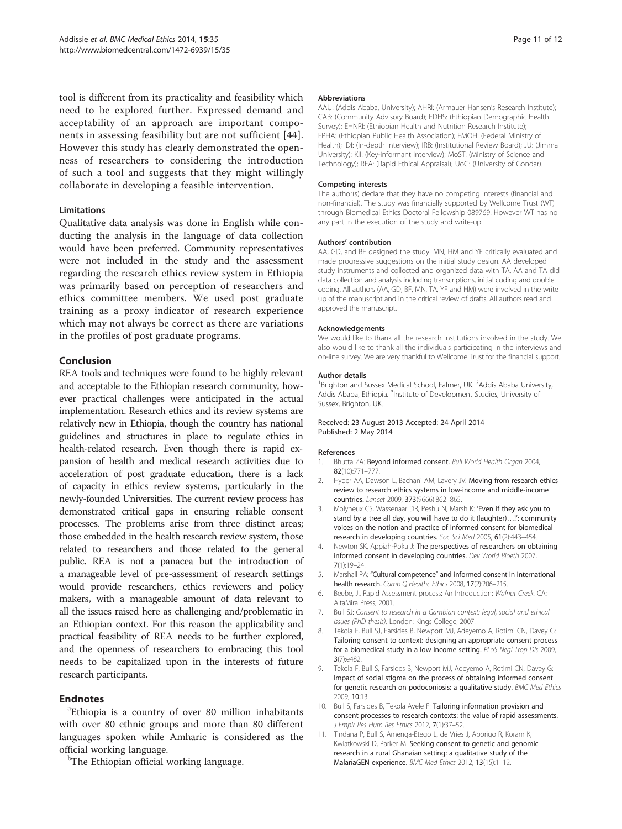<span id="page-11-0"></span>tool is different from its practicality and feasibility which need to be explored further. Expressed demand and acceptability of an approach are important components in assessing feasibility but are not sufficient [44]. However this study has clearly demonstrated the openness of researchers to considering the introduction of such a tool and suggests that they might willingly collaborate in developing a feasible intervention.

#### Limitations

Qualitative data analysis was done in English while conducting the analysis in the language of data collection would have been preferred. Community representatives were not included in the study and the assessment regarding the research ethics review system in Ethiopia was primarily based on perception of researchers and ethics committee members. We used post graduate training as a proxy indicator of research experience which may not always be correct as there are variations in the profiles of post graduate programs.

#### Conclusion

REA tools and techniques were found to be highly relevant and acceptable to the Ethiopian research community, however practical challenges were anticipated in the actual implementation. Research ethics and its review systems are relatively new in Ethiopia, though the country has national guidelines and structures in place to regulate ethics in health-related research. Even though there is rapid expansion of health and medical research activities due to acceleration of post graduate education, there is a lack of capacity in ethics review systems, particularly in the newly-founded Universities. The current review process has demonstrated critical gaps in ensuring reliable consent processes. The problems arise from three distinct areas; those embedded in the health research review system, those related to researchers and those related to the general public. REA is not a panacea but the introduction of a manageable level of pre-assessment of research settings would provide researchers, ethics reviewers and policy makers, with a manageable amount of data relevant to all the issues raised here as challenging and/problematic in an Ethiopian context. For this reason the applicability and practical feasibility of REA needs to be further explored, and the openness of researchers to embracing this tool needs to be capitalized upon in the interests of future research participants.

#### Endnotes

<sup>a</sup>Ethiopia is a country of over 80 million inhabitants with over 80 ethnic groups and more than 80 different languages spoken while Amharic is considered as the official working language.

<sup>b</sup>The Ethiopian official working language.

#### **Abbreviations**

AAU: (Addis Ababa, University); AHRI: (Armauer Hansen's Research Institute); CAB: (Community Advisory Board); EDHS: (Ethiopian Demographic Health Survey); EHNRI: (Ethiopian Health and Nutrition Research Institute); EPHA: (Ethiopian Public Health Association); FMOH: (Federal Ministry of Health); IDI: (In-depth Interview); IRB: (Institutional Review Board); JU: (Jimma University); KII: (Key-informant Interview); MoST: (Ministry of Science and Technology); REA: (Rapid Ethical Appraisal); UoG: (University of Gondar).

#### Competing interests

The author(s) declare that they have no competing interests (financial and non-financial). The study was financially supported by Wellcome Trust (WT) through Biomedical Ethics Doctoral Fellowship 089769. However WT has no any part in the execution of the study and write-up.

#### Authors' contribution

AA, GD, and BF designed the study. MN, HM and YF critically evaluated and made progressive suggestions on the initial study design. AA developed study instruments and collected and organized data with TA. AA and TA did data collection and analysis including transcriptions, initial coding and double coding. All authors (AA, GD, BF, MN, TA, YF and HM) were involved in the write up of the manuscript and in the critical review of drafts. All authors read and approved the manuscript.

#### Acknowledgements

We would like to thank all the research institutions involved in the study. We also would like to thank all the individuals participating in the interviews and on-line survey. We are very thankful to Wellcome Trust for the financial support.

#### Author details

<sup>1</sup> Brighton and Sussex Medical School, Falmer, UK.<sup>2</sup> Addis Ababa University Addis Ababa, Ethiopia. <sup>3</sup>Institute of Development Studies, University of Sussex, Brighton, UK.

#### Received: 23 August 2013 Accepted: 24 April 2014 Published: 2 May 2014

#### References

- 1. Bhutta ZA: Beyond informed consent. Bull World Health Organ 2004, 82(10):771–777.
- 2. Hyder AA, Dawson L, Bachani AM, Lavery JV: Moving from research ethics review to research ethics systems in low-income and middle-income countries. Lancet 2009, 373(9666):862–865.
- 3. Molyneux CS, Wassenaar DR, Peshu N, Marsh K: 'Even if they ask you to stand by a tree all day, you will have to do it (laughter)…!': community voices on the notion and practice of informed consent for biomedical research in developing countries. Soc Sci Med 2005, 61(2):443–454.
- 4. Newton SK, Appiah-Poku J: The perspectives of researchers on obtaining informed consent in developing countries. Dev World Bioeth 2007, 7(1):19–24.
- 5. Marshall PA: "Cultural competence" and informed consent in international health research. Camb Q Healthc Ethics 2008, 17(2):206-215.
- 6. Beebe, J., Rapid Assessment process: An Introduction: Walnut Creek. CA: AltaMira Press; 2001.
- 7. Bull SJ: Consent to research in a Gambian context: legal, social and ethical issues (PhD thesis). London: Kings College; 2007.
- 8. Tekola F, Bull SJ, Farsides B, Newport MJ, Adeyemo A, Rotimi CN, Davey G: Tailoring consent to context: designing an appropriate consent process for a biomedical study in a low income setting. PLoS Negl Trop Dis 2009, 3(7):e482.
- 9. Tekola F, Bull S, Farsides B, Newport MJ, Adeyemo A, Rotimi CN, Davey G: Impact of social stigma on the process of obtaining informed consent for genetic research on podoconiosis: a qualitative study. BMC Med Ethics 2009, 10:13.
- 10. Bull S, Farsides B, Tekola Ayele F: Tailoring information provision and consent processes to research contexts: the value of rapid assessments. J Empir Res Hum Res Ethics 2012, 7(1):37–52.
- 11. Tindana P, Bull S, Amenga-Etego L, de Vries J, Aborigo R, Koram K, Kwiatkowski D, Parker M: Seeking consent to genetic and genomic research in a rural Ghanaian setting: a qualitative study of the MalariaGEN experience. BMC Med Ethics 2012, 13(15):1–12.